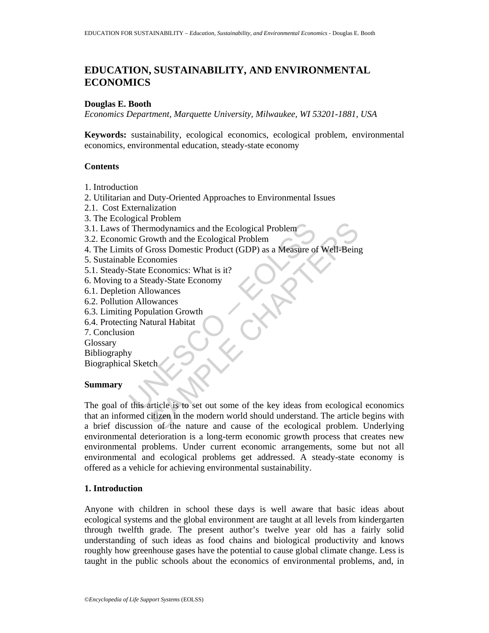# **EDUCATION, SUSTAINABILITY, AND ENVIRONMENTAL ECONOMICS**

#### **Douglas E. Booth**

*Economics Department, Marquette University, Milwaukee, WI 53201-1881, USA* 

**Keywords:** sustainability, ecological economics, ecological problem, environmental economics, environmental education, steady-state economy

#### **Contents**

1. Introduction

2. Utilitarian and Duty-Oriented Approaches to Environmental Issues

- 2.1. Cost Externalization
- 3. The Ecological Problem
- 3.1. Laws of Thermodynamics and the Ecological Problem
- 3.2. Economic Growth and the Ecological Problem
- 4. The Limits of Gross Domestic Product (GDP) as a Measure of Well-Being
- 5. Sustainable Economies
- 5.1. Steady-State Economics: What is it?
- 6. Moving to a Steady-State Economy
- 6.1. Depletion Allowances
- 6.2. Pollution Allowances
- 6.3. Limiting Population Growth
- 6.4. Protecting Natural Habitat
- 7. Conclusion

**Glossary** 

Bibliography

Biographical Sketch

# **Summary**

Thermodynamics and the Ecological Problem<br>
inc Growth and the Ecological Problem<br>
is of Gross Domestic Product (GDP) as a Measure of<br>
le Economies<br>
State Economies: What is it?<br>
2 a Steady-State Economy<br>
on Allowances<br>
m A modynamics and the Ecological Problem<br>
Showth and the Ecological Problem<br>
Showth and the Ecological Problem<br>
Showth and the Ecological Problem<br>
Economics: What is it?<br>
Economics: What is it?<br>
Economics<br>
showthered<br>
showthe The goal of this article is to set out some of the key ideas from ecological economics that an informed citizen in the modern world should understand. The article begins with a brief discussion of the nature and cause of the ecological problem. Underlying environmental deterioration is a long-term economic growth process that creates new environmental problems. Under current economic arrangements, some but not all environmental and ecological problems get addressed. A steady-state economy is offered as a vehicle for achieving environmental sustainability.

# **1. Introduction**

Anyone with children in school these days is well aware that basic ideas about ecological systems and the global environment are taught at all levels from kindergarten through twelfth grade. The present author's twelve year old has a fairly solid understanding of such ideas as food chains and biological productivity and knows roughly how greenhouse gases have the potential to cause global climate change. Less is taught in the public schools about the economics of environmental problems, and, in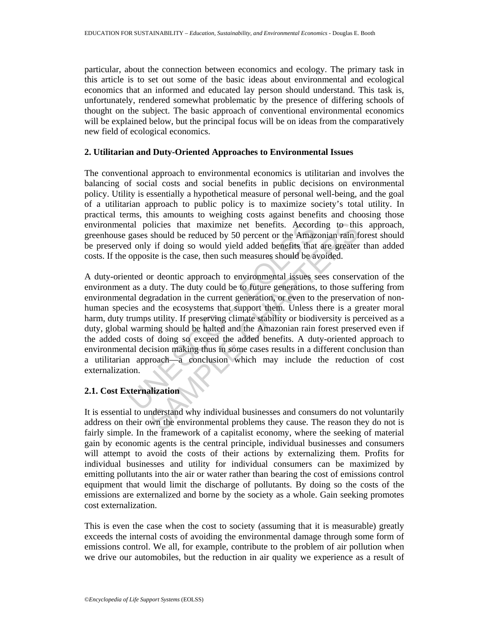particular, about the connection between economics and ecology. The primary task in this article is to set out some of the basic ideas about environmental and ecological economics that an informed and educated lay person should understand. This task is, unfortunately, rendered somewhat problematic by the presence of differing schools of thought on the subject. The basic approach of conventional environmental economics will be explained below, but the principal focus will be on ideas from the comparatively new field of ecological economics.

#### **2. Utilitarian and Duty-Oriented Approaches to Environmental Issues**

The conventional approach to environmental economics is utilitarian and involves the balancing of social costs and social benefits in public decisions on environmental policy. Utility is essentially a hypothetical measure of personal well-being, and the goal of a utilitarian approach to public policy is to maximize society's total utility. In practical terms, this amounts to weighing costs against benefits and choosing those environmental policies that maximize net benefits. According to this approach, greenhouse gases should be reduced by 50 percent or the Amazonian rain forest should be preserved only if doing so would yield added benefits that are greater than added costs. If the opposite is the case, then such measures should be avoided.

tal policies that maximize net benefits. Accord<br>gases should be reduced by 50 percent or the Amaz<br>d only if doing so would yield added benefits that<br>opposite is the case, then such measures should be a<br>nted or deontic appr olicies that maximize net benefits. According to this should be reduced by 50 percent or the Amazonian rain f is in should be reduced by 50 percent or the Amazonian rain f is it is the case, then such measures should be av A duty-oriented or deontic approach to environmental issues sees conservation of the environment as a duty. The duty could be to future generations, to those suffering from environmental degradation in the current generation, or even to the preservation of nonhuman species and the ecosystems that support them. Unless there is a greater moral harm, duty trumps utility. If preserving climate stability or biodiversity is perceived as a duty, global warming should be halted and the Amazonian rain forest preserved even if the added costs of doing so exceed the added benefits. A duty-oriented approach to environmental decision making thus in some cases results in a different conclusion than a utilitarian approach—a conclusion which may include the reduction of cost externalization.

# **2.1. Cost Externalization**

It is essential to understand why individual businesses and consumers do not voluntarily address on their own the environmental problems they cause. The reason they do not is fairly simple. In the framework of a capitalist economy, where the seeking of material gain by economic agents is the central principle, individual businesses and consumers will attempt to avoid the costs of their actions by externalizing them. Profits for individual businesses and utility for individual consumers can be maximized by emitting pollutants into the air or water rather than bearing the cost of emissions control equipment that would limit the discharge of pollutants. By doing so the costs of the emissions are externalized and borne by the society as a whole. Gain seeking promotes cost externalization.

This is even the case when the cost to society (assuming that it is measurable) greatly exceeds the internal costs of avoiding the environmental damage through some form of emissions control. We all, for example, contribute to the problem of air pollution when we drive our automobiles, but the reduction in air quality we experience as a result of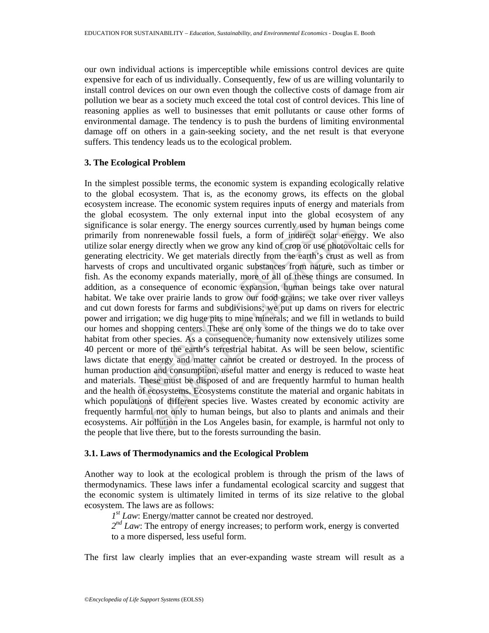our own individual actions is imperceptible while emissions control devices are quite expensive for each of us individually. Consequently, few of us are willing voluntarily to install control devices on our own even though the collective costs of damage from air pollution we bear as a society much exceed the total cost of control devices. This line of reasoning applies as well to businesses that emit pollutants or cause other forms of environmental damage. The tendency is to push the burdens of limiting environmental damage off on others in a gain-seeking society, and the net result is that everyone suffers. This tendency leads us to the ecological problem.

# **3. The Ecological Problem**

is solar energy. The energy sources currently used<br>om nonrenewable fossil fuels, a form of indirect<br>energy directly when we grow any kind of crop or u<br>lectricity. We get materials directly from the earth<br>crops and uncultiv lar energy. The energy sources currently used by human l<br>onrenewable fossil fuels, a form of indirect solar energy<br>directly when we grow any kind of crop or use photovol<br>city. We get materials directly from the earth's cru In the simplest possible terms, the economic system is expanding ecologically relative to the global ecosystem. That is, as the economy grows, its effects on the global ecosystem increase. The economic system requires inputs of energy and materials from the global ecosystem. The only external input into the global ecosystem of any significance is solar energy. The energy sources currently used by human beings come primarily from nonrenewable fossil fuels, a form of indirect solar energy. We also utilize solar energy directly when we grow any kind of crop or use photovoltaic cells for generating electricity. We get materials directly from the earth's crust as well as from harvests of crops and uncultivated organic substances from nature, such as timber or fish. As the economy expands materially, more of all of these things are consumed. In addition, as a consequence of economic expansion, human beings take over natural habitat. We take over prairie lands to grow our food grains; we take over river valleys and cut down forests for farms and subdivisions; we put up dams on rivers for electric power and irrigation; we dig huge pits to mine minerals; and we fill in wetlands to build our homes and shopping centers. These are only some of the things we do to take over habitat from other species. As a consequence, humanity now extensively utilizes some 40 percent or more of the earth's terrestrial habitat. As will be seen below, scientific laws dictate that energy and matter cannot be created or destroyed. In the process of human production and consumption, useful matter and energy is reduced to waste heat and materials. These must be disposed of and are frequently harmful to human health and the health of ecosystems. Ecosystems constitute the material and organic habitats in which populations of different species live. Wastes created by economic activity are frequently harmful not only to human beings, but also to plants and animals and their ecosystems. Air pollution in the Los Angeles basin, for example, is harmful not only to the people that live there, but to the forests surrounding the basin.

# **3.1. Laws of Thermodynamics and the Ecological Problem**

Another way to look at the ecological problem is through the prism of the laws of thermodynamics. These laws infer a fundamental ecological scarcity and suggest that the economic system is ultimately limited in terms of its size relative to the global ecosystem. The laws are as follows:

*1st Law*: Energy/matter cannot be created nor destroyed.

 $2^{nd}$  *Law*: The entropy of energy increases; to perform work, energy is converted to a more dispersed, less useful form.

The first law clearly implies that an ever-expanding waste stream will result as a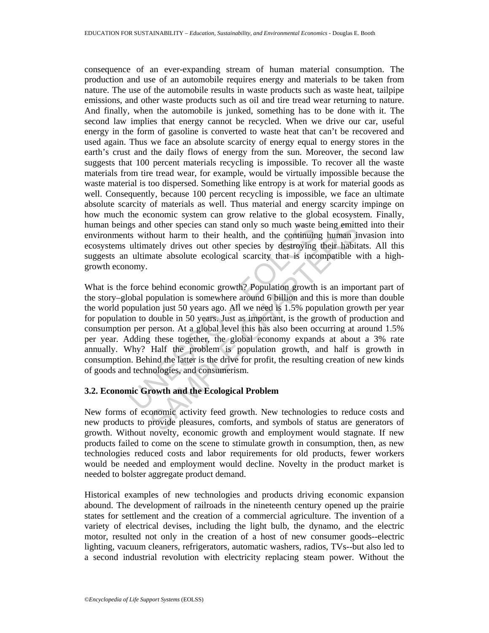consequence of an ever-expanding stream of human material consumption. The production and use of an automobile requires energy and materials to be taken from nature. The use of the automobile results in waste products such as waste heat, tailpipe emissions, and other waste products such as oil and tire tread wear returning to nature. And finally, when the automobile is junked, something has to be done with it. The second law implies that energy cannot be recycled. When we drive our car, useful energy in the form of gasoline is converted to waste heat that can't be recovered and used again. Thus we face an absolute scarcity of energy equal to energy stores in the earth's crust and the daily flows of energy from the sun. Moreover, the second law suggests that 100 percent materials recycling is impossible. To recover all the waste materials from tire tread wear, for example, would be virtually impossible because the waste material is too dispersed. Something like entropy is at work for material goods as well. Consequently, because 100 percent recycling is impossible, we face an ultimate absolute scarcity of materials as well. Thus material and energy scarcity impinge on how much the economic system can grow relative to the global ecosystem. Finally, human beings and other species can stand only so much waste being emitted into their environments without harm to their health, and the continuing human invasion into ecosystems ultimately drives out other species by destroying their habitats. All this suggests an ultimate absolute ecological scarcity that is incompatible with a highgrowth economy.

gs and other species can stand only so much waste<br>ts without harm to their health, and the continuin<br>ultimately drives out other species by destroying<br>ultimate absolute ecological scarcity that is inco<br>comy.<br>force behind e d other species can stand only so much waste being emitt<br>hout harm to their health, and the continuing human in<br>ately drives out other species by destroying their habit<br>ante absolute ecological scarcity that is incompatibl What is the force behind economic growth? Population growth is an important part of the story–global population is somewhere around 6 billion and this is more than double the world population just 50 years ago. All we need is 1.5% population growth per year for population to double in 50 years. Just as important, is the growth of production and consumption per person. At a global level this has also been occurring at around 1.5% per year. Adding these together, the global economy expands at about a 3% rate annually. Why? Half the problem is population growth, and half is growth in consumption. Behind the latter is the drive for profit, the resulting creation of new kinds of goods and technologies, and consumerism.

# **3.2. Economic Growth and the Ecological Problem**

New forms of economic activity feed growth. New technologies to reduce costs and new products to provide pleasures, comforts, and symbols of status are generators of growth. Without novelty, economic growth and employment would stagnate. If new products failed to come on the scene to stimulate growth in consumption, then, as new technologies reduced costs and labor requirements for old products, fewer workers would be needed and employment would decline. Novelty in the product market is needed to bolster aggregate product demand.

Historical examples of new technologies and products driving economic expansion abound. The development of railroads in the nineteenth century opened up the prairie states for settlement and the creation of a commercial agriculture. The invention of a variety of electrical devises, including the light bulb, the dynamo, and the electric motor, resulted not only in the creation of a host of new consumer goods--electric lighting, vacuum cleaners, refrigerators, automatic washers, radios, TVs--but also led to a second industrial revolution with electricity replacing steam power. Without the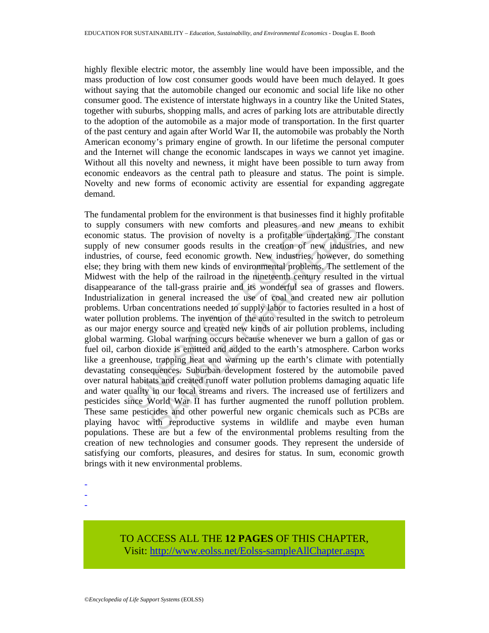highly flexible electric motor, the assembly line would have been impossible, and the mass production of low cost consumer goods would have been much delayed. It goes without saying that the automobile changed our economic and social life like no other consumer good. The existence of interstate highways in a country like the United States, together with suburbs, shopping malls, and acres of parking lots are attributable directly to the adoption of the automobile as a major mode of transportation. In the first quarter of the past century and again after World War II, the automobile was probably the North American economy's primary engine of growth. In our lifetime the personal computer and the Internet will change the economic landscapes in ways we cannot yet imagine. Without all this novelty and newness, it might have been possible to turn away from economic endeavors as the central path to pleasure and status. The point is simple. Novelty and new forms of economic activity are essential for expanding aggregate demand.

consumers with new comforts and pleasures and<br>tatus. The provision of novelty is a profitable uncew consumer goods results in the creation of ne<br>for course, feed economic growth. New industries, i<br>ing with them new kinds o mers with new comforts and pleasures and new means<br>The provision of novelty is a profitable undertaking. T<br>onsumer goods results in the creation of new industrie<br>stress, feed economic growth. New industries, however, do<br>th The fundamental problem for the environment is that businesses find it highly profitable to supply consumers with new comforts and pleasures and new means to exhibit economic status. The provision of novelty is a profitable undertaking. The constant supply of new consumer goods results in the creation of new industries, and new industries, of course, feed economic growth. New industries, however, do something else; they bring with them new kinds of environmental problems. The settlement of the Midwest with the help of the railroad in the nineteenth century resulted in the virtual disappearance of the tall-grass prairie and its wonderful sea of grasses and flowers. Industrialization in general increased the use of coal and created new air pollution problems. Urban concentrations needed to supply labor to factories resulted in a host of water pollution problems. The invention of the auto resulted in the switch to petroleum as our major energy source and created new kinds of air pollution problems, including global warming. Global warming occurs because whenever we burn a gallon of gas or fuel oil, carbon dioxide is emitted and added to the earth's atmosphere. Carbon works like a greenhouse, trapping heat and warming up the earth's climate with potentially devastating consequences. Suburban development fostered by the automobile paved over natural habitats and created runoff water pollution problems damaging aquatic life and water quality in our local streams and rivers. The increased use of fertilizers and pesticides since World War II has further augmented the runoff pollution problem. These same pesticides and other powerful new organic chemicals such as PCBs are playing havoc with reproductive systems in wildlife and maybe even human populations. These are but a few of the environmental problems resulting from the creation of new technologies and consumer goods. They represent the underside of satisfying our comforts, pleasures, and desires for status. In sum, economic growth brings with it new environmental problems.

- -
- -

TO ACCESS ALL THE **12 PAGES** OF THIS CHAPTER, Visit[: http://www.eolss.net/Eolss-sampleAllChapter.aspx](https://www.eolss.net/ebooklib/sc_cart.aspx?File=E6-61-01-02)

<sup>-</sup>